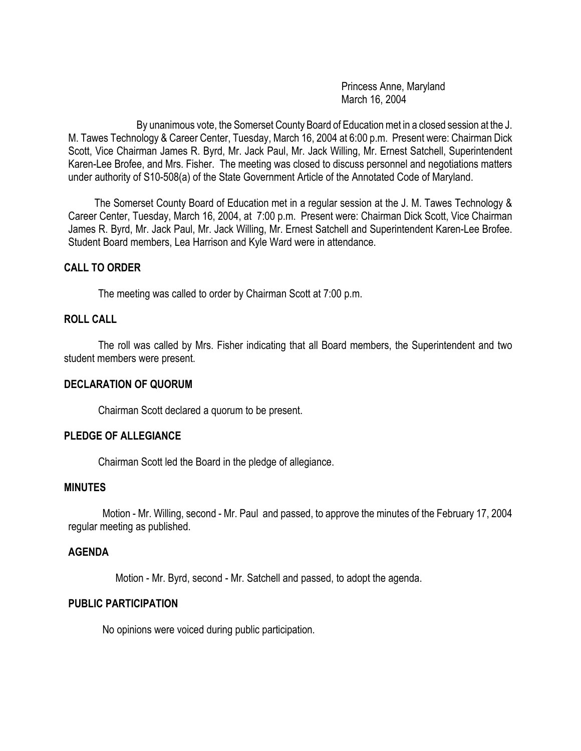Princess Anne, Maryland March 16, 2004

By unanimous vote, the Somerset County Board of Education met in a closed session at the J. M. Tawes Technology & Career Center, Tuesday, March 16, 2004 at 6:00 p.m. Present were: Chairman Dick Scott, Vice Chairman James R. Byrd, Mr. Jack Paul, Mr. Jack Willing, Mr. Ernest Satchell, Superintendent Karen-Lee Brofee, and Mrs. Fisher. The meeting was closed to discuss personnel and negotiations matters under authority of S10-508(a) of the State Government Article of the Annotated Code of Maryland.

 The Somerset County Board of Education met in a regular session at the J. M. Tawes Technology & Career Center, Tuesday, March 16, 2004, at 7:00 p.m. Present were: Chairman Dick Scott, Vice Chairman James R. Byrd, Mr. Jack Paul, Mr. Jack Willing, Mr. Ernest Satchell and Superintendent Karen-Lee Brofee. Student Board members, Lea Harrison and Kyle Ward were in attendance.

## **CALL TO ORDER**

The meeting was called to order by Chairman Scott at 7:00 p.m.

## **ROLL CALL**

The roll was called by Mrs. Fisher indicating that all Board members, the Superintendent and two student members were present.

#### **DECLARATION OF QUORUM**

Chairman Scott declared a quorum to be present.

#### **PLEDGE OF ALLEGIANCE**

Chairman Scott led the Board in the pledge of allegiance.

## **MINUTES**

Motion - Mr. Willing, second - Mr. Paul and passed, to approve the minutes of the February 17, 2004 regular meeting as published.

#### **AGENDA**

Motion - Mr. Byrd, second - Mr. Satchell and passed, to adopt the agenda.

#### **PUBLIC PARTICIPATION**

No opinions were voiced during public participation.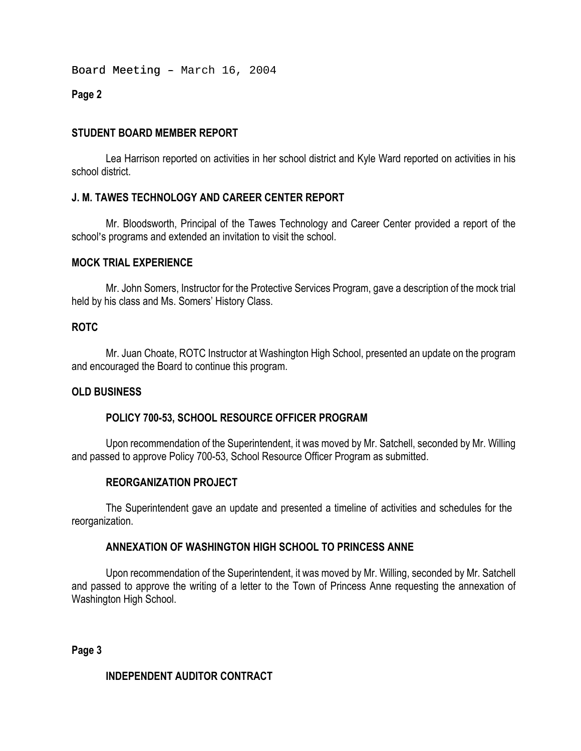Board Meeting - March 16, 2004

## **Page 2**

## **STUDENT BOARD MEMBER REPORT**

Lea Harrison reported on activities in her school district and Kyle Ward reported on activities in his school district.

## **J. M. TAWES TECHNOLOGY AND CAREER CENTER REPORT**

Mr. Bloodsworth, Principal of the Tawes Technology and Career Center provided a report of the school's programs and extended an invitation to visit the school.

## **MOCK TRIAL EXPERIENCE**

Mr. John Somers, Instructor for the Protective Services Program, gave a description of the mock trial held by his class and Ms. Somers' History Class.

## **ROTC**

Mr. Juan Choate, ROTC Instructor at Washington High School, presented an update on the program and encouraged the Board to continue this program.

## **OLD BUSINESS**

## **POLICY 700-53, SCHOOL RESOURCE OFFICER PROGRAM**

Upon recommendation of the Superintendent, it was moved by Mr. Satchell, seconded by Mr. Willing and passed to approve Policy 700-53, School Resource Officer Program as submitted.

## **REORGANIZATION PROJECT**

The Superintendent gave an update and presented a timeline of activities and schedules for the reorganization.

## **ANNEXATION OF WASHINGTON HIGH SCHOOL TO PRINCESS ANNE**

Upon recommendation of the Superintendent, it was moved by Mr. Willing, seconded by Mr. Satchell and passed to approve the writing of a letter to the Town of Princess Anne requesting the annexation of Washington High School.

**Page 3** 

## **INDEPENDENT AUDITOR CONTRACT**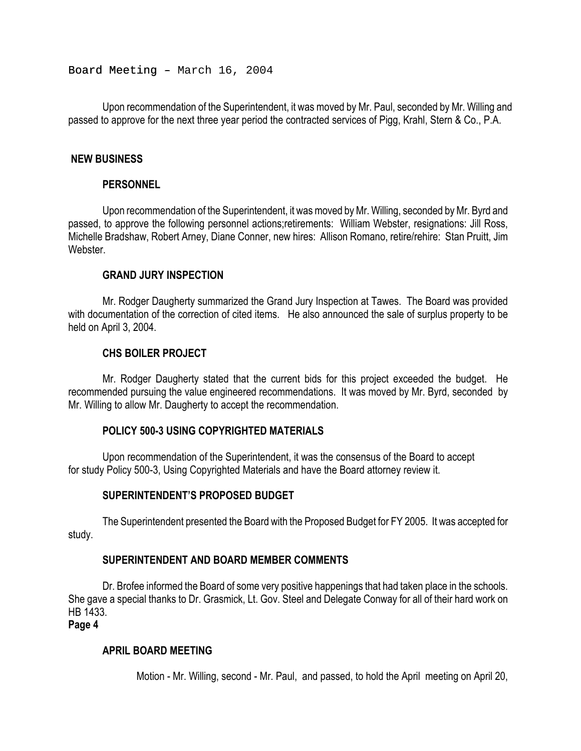Board Meeting - March 16, 2004

Upon recommendation of the Superintendent, it was moved by Mr. Paul, seconded by Mr. Willing and passed to approve for the next three year period the contracted services of Pigg, Krahl, Stern & Co., P.A.

#### **NEW BUSINESS**

#### **PERSONNEL**

Upon recommendation of the Superintendent, it was moved by Mr. Willing, seconded by Mr. Byrd and passed, to approve the following personnel actions;retirements: William Webster, resignations: Jill Ross, Michelle Bradshaw, Robert Arney, Diane Conner, new hires: Allison Romano, retire/rehire: Stan Pruitt, Jim Webster

#### **GRAND JURY INSPECTION**

Mr. Rodger Daugherty summarized the Grand Jury Inspection at Tawes. The Board was provided with documentation of the correction of cited items. He also announced the sale of surplus property to be held on April 3, 2004.

## **CHS BOILER PROJECT**

Mr. Rodger Daugherty stated that the current bids for this project exceeded the budget. He recommended pursuing the value engineered recommendations. It was moved by Mr. Byrd, seconded by Mr. Willing to allow Mr. Daugherty to accept the recommendation.

## **POLICY 500-3 USING COPYRIGHTED MATERIALS**

Upon recommendation of the Superintendent, it was the consensus of the Board to accept for study Policy 500-3, Using Copyrighted Materials and have the Board attorney review it.

## **SUPERINTENDENT'S PROPOSED BUDGET**

The Superintendent presented the Board with the Proposed Budget for FY 2005. It was accepted for study.

#### **SUPERINTENDENT AND BOARD MEMBER COMMENTS**

Dr. Brofee informed the Board of some very positive happenings that had taken place in the schools. She gave a special thanks to Dr. Grasmick, Lt. Gov. Steel and Delegate Conway for all of their hard work on HB 1433.

**Page 4**

## **APRIL BOARD MEETING**

Motion - Mr. Willing, second - Mr. Paul, and passed, to hold the April meeting on April 20,